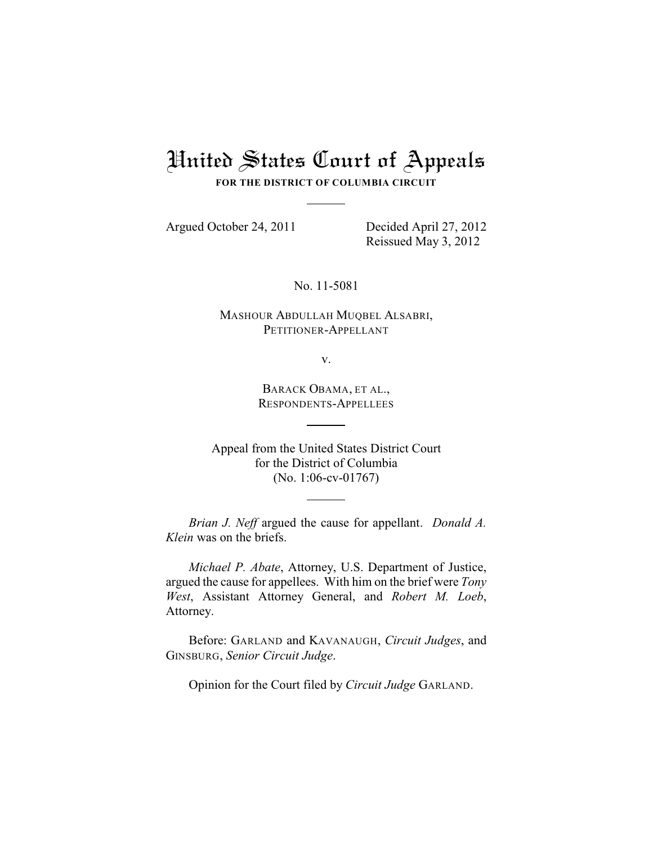## United States Court of Appeals

**FOR THE DISTRICT OF COLUMBIA CIRCUIT**

Argued October 24, 2011 Decided April 27, 2012

Reissued May 3, 2012

No. 11-5081

MASHOUR ABDULLAH MUQBEL ALSABRI, PETITIONER-APPELLANT

v.

BARACK OBAMA, ET AL., RESPONDENTS-APPELLEES

Appeal from the United States District Court for the District of Columbia (No. 1:06-cv-01767)

*Brian J. Neff* argued the cause for appellant. *Donald A. Klein* was on the briefs.

*Michael P. Abate*, Attorney, U.S. Department of Justice, argued the cause for appellees. With him on the brief were *Tony West*, Assistant Attorney General, and *Robert M. Loeb*, Attorney.

Before: GARLAND and KAVANAUGH, *Circuit Judges*, and GINSBURG, *Senior Circuit Judge*.

Opinion for the Court filed by *Circuit Judge* GARLAND.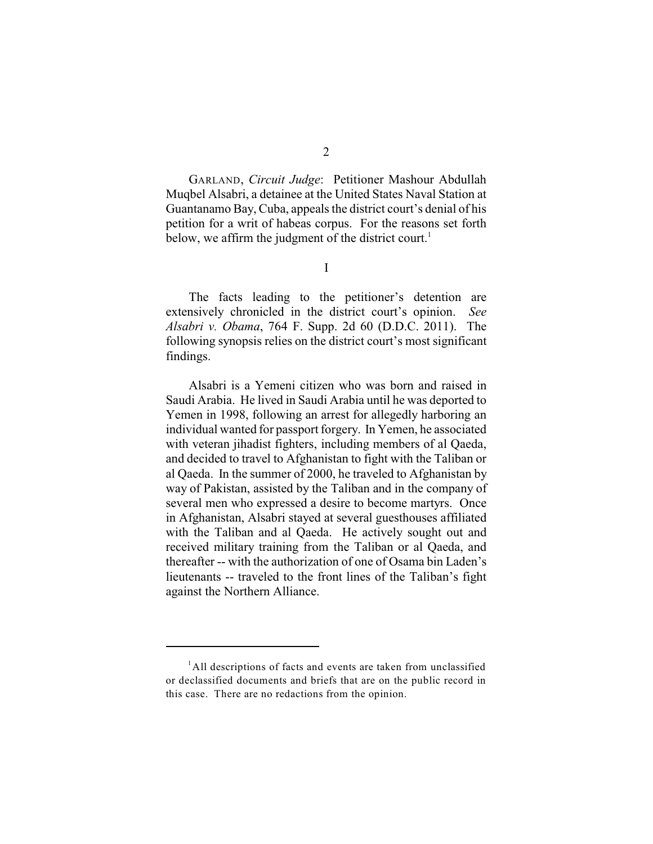GARLAND, *Circuit Judge*: Petitioner Mashour Abdullah Muqbel Alsabri, a detainee at the United States Naval Station at Guantanamo Bay, Cuba, appeals the district court's denial of his petition for a writ of habeas corpus. For the reasons set forth below, we affirm the judgment of the district court.<sup>1</sup>

I

The facts leading to the petitioner's detention are extensively chronicled in the district court's opinion. *See Alsabri v. Obama*, 764 F. Supp. 2d 60 (D.D.C. 2011). The following synopsis relies on the district court's most significant findings.

Alsabri is a Yemeni citizen who was born and raised in Saudi Arabia. He lived in Saudi Arabia until he was deported to Yemen in 1998, following an arrest for allegedly harboring an individual wanted for passport forgery. In Yemen, he associated with veteran jihadist fighters, including members of al Qaeda, and decided to travel to Afghanistan to fight with the Taliban or al Qaeda. In the summer of 2000, he traveled to Afghanistan by way of Pakistan, assisted by the Taliban and in the company of several men who expressed a desire to become martyrs. Once in Afghanistan, Alsabri stayed at several guesthouses affiliated with the Taliban and al Qaeda. He actively sought out and received military training from the Taliban or al Qaeda, and thereafter -- with the authorization of one of Osama bin Laden's lieutenants -- traveled to the front lines of the Taliban's fight against the Northern Alliance.

<sup>&</sup>lt;sup>1</sup>All descriptions of facts and events are taken from unclassified or declassified documents and briefs that are on the public record in this case. There are no redactions from the opinion.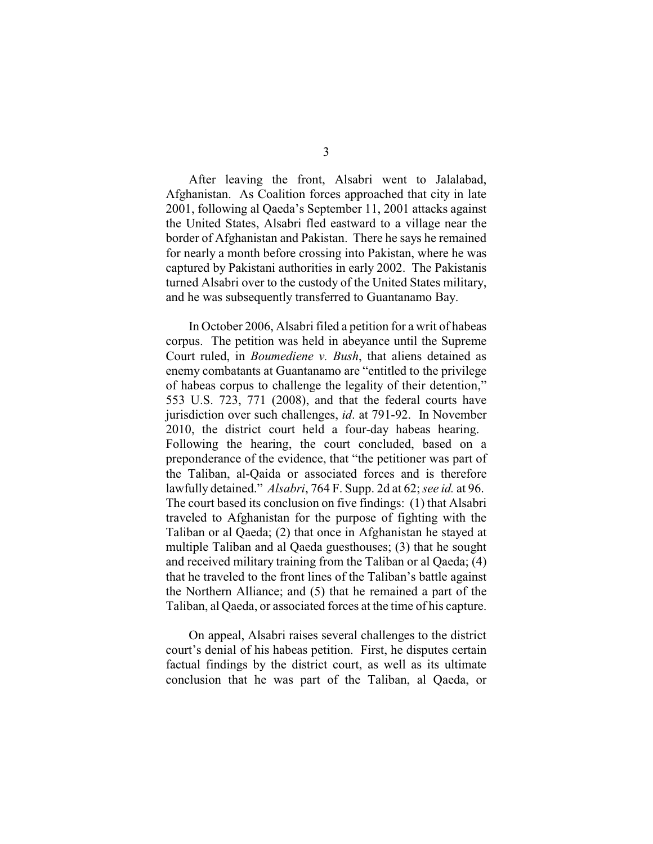After leaving the front, Alsabri went to Jalalabad, Afghanistan. As Coalition forces approached that city in late 2001, following al Qaeda's September 11, 2001 attacks against the United States, Alsabri fled eastward to a village near the border of Afghanistan and Pakistan. There he says he remained for nearly a month before crossing into Pakistan, where he was captured by Pakistani authorities in early 2002. The Pakistanis turned Alsabri over to the custody of the United States military, and he was subsequently transferred to Guantanamo Bay.

In October 2006, Alsabri filed a petition for a writ of habeas corpus. The petition was held in abeyance until the Supreme Court ruled, in *Boumediene v. Bush*, that aliens detained as enemy combatants at Guantanamo are "entitled to the privilege of habeas corpus to challenge the legality of their detention," 553 U.S. 723, 771 (2008), and that the federal courts have jurisdiction over such challenges, *id*. at 791-92. In November 2010, the district court held a four-day habeas hearing. Following the hearing, the court concluded, based on a preponderance of the evidence, that "the petitioner was part of the Taliban, al-Qaida or associated forces and is therefore lawfully detained." *Alsabri*, 764 F. Supp. 2d at 62; *see id.* at 96. The court based its conclusion on five findings: (1) that Alsabri traveled to Afghanistan for the purpose of fighting with the Taliban or al Qaeda; (2) that once in Afghanistan he stayed at multiple Taliban and al Qaeda guesthouses; (3) that he sought and received military training from the Taliban or al Qaeda; (4) that he traveled to the front lines of the Taliban's battle against the Northern Alliance; and (5) that he remained a part of the Taliban, al Qaeda, or associated forces at the time of his capture.

On appeal, Alsabri raises several challenges to the district court's denial of his habeas petition. First, he disputes certain factual findings by the district court, as well as its ultimate conclusion that he was part of the Taliban, al Qaeda, or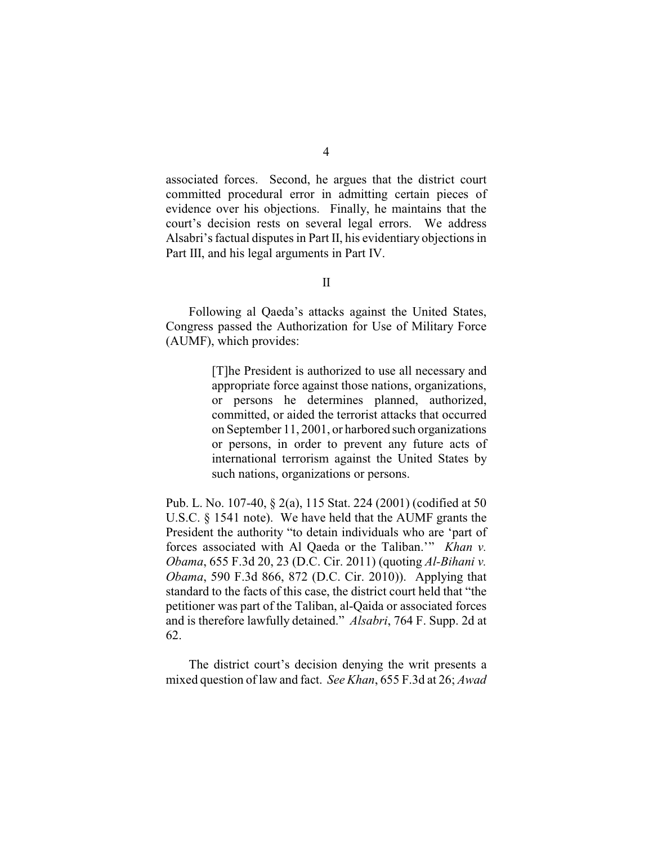associated forces. Second, he argues that the district court committed procedural error in admitting certain pieces of evidence over his objections. Finally, he maintains that the court's decision rests on several legal errors. We address Alsabri's factual disputes in Part II, his evidentiary objections in Part III, and his legal arguments in Part IV.

Following al Qaeda's attacks against the United States, Congress passed the Authorization for Use of Military Force (AUMF), which provides:

> [T]he President is authorized to use all necessary and appropriate force against those nations, organizations, or persons he determines planned, authorized, committed, or aided the terrorist attacks that occurred on September 11, 2001, or harbored such organizations or persons, in order to prevent any future acts of international terrorism against the United States by such nations, organizations or persons.

Pub. L. No. 107-40, § 2(a), 115 Stat. 224 (2001) (codified at 50 U.S.C. § 1541 note). We have held that the AUMF grants the President the authority "to detain individuals who are 'part of forces associated with Al Qaeda or the Taliban.'" *Khan v. Obama*, 655 F.3d 20, 23 (D.C. Cir. 2011) (quoting *Al-Bihani v. Obama*, 590 F.3d 866, 872 (D.C. Cir. 2010)). Applying that standard to the facts of this case, the district court held that "the petitioner was part of the Taliban, al-Qaida or associated forces and is therefore lawfully detained." *Alsabri*, 764 F. Supp. 2d at 62.

The district court's decision denying the writ presents a mixed question of law and fact. *See Khan*, 655 F.3d at 26; *Awad*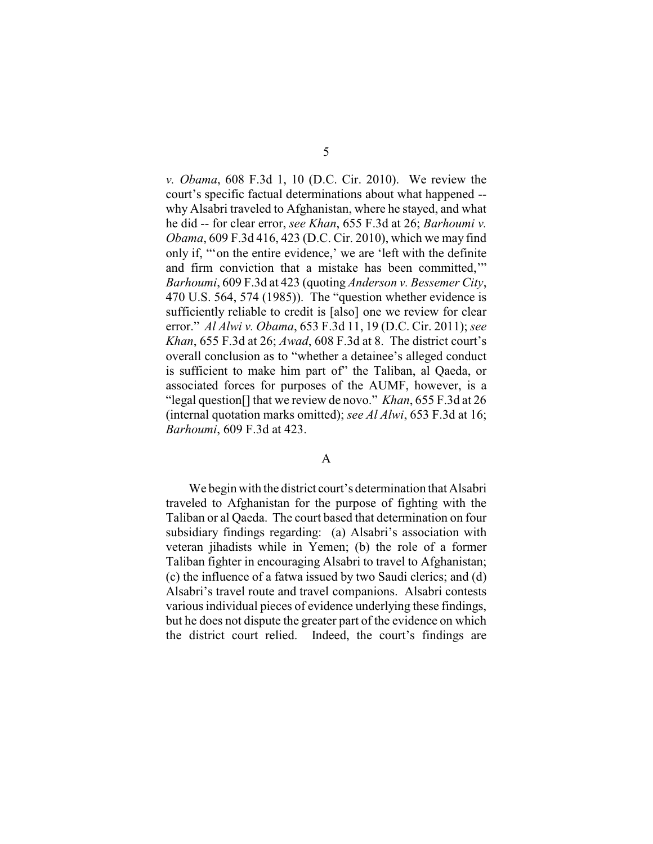*v. Obama*, 608 F.3d 1, 10 (D.C. Cir. 2010). We review the court's specific factual determinations about what happened - why Alsabri traveled to Afghanistan, where he stayed, and what he did -- for clear error, *see Khan*, 655 F.3d at 26; *Barhoumi v. Obama*, 609 F.3d 416, 423 (D.C. Cir. 2010), which we may find only if, "'on the entire evidence,' we are 'left with the definite and firm conviction that a mistake has been committed,'" *Barhoumi*, 609 F.3d at 423 (quoting *Anderson v. Bessemer City*, 470 U.S. 564, 574 (1985)). The "question whether evidence is sufficiently reliable to credit is [also] one we review for clear error." *Al Alwi v. Obama*, 653 F.3d 11, 19 (D.C. Cir. 2011); *see Khan*, 655 F.3d at 26; *Awad*, 608 F.3d at 8. The district court's overall conclusion as to "whether a detainee's alleged conduct is sufficient to make him part of" the Taliban, al Qaeda, or associated forces for purposes of the AUMF, however, is a "legal question[] that we review de novo." *Khan*, 655 F.3d at 26 (internal quotation marks omitted); *see Al Alwi*, 653 F.3d at 16; *Barhoumi*, 609 F.3d at 423.

## A

We begin with the district court's determination that Alsabri traveled to Afghanistan for the purpose of fighting with the Taliban or al Qaeda. The court based that determination on four subsidiary findings regarding: (a) Alsabri's association with veteran jihadists while in Yemen; (b) the role of a former Taliban fighter in encouraging Alsabri to travel to Afghanistan; (c) the influence of a fatwa issued by two Saudi clerics; and (d) Alsabri's travel route and travel companions. Alsabri contests various individual pieces of evidence underlying these findings, but he does not dispute the greater part of the evidence on which the district court relied. Indeed, the court's findings are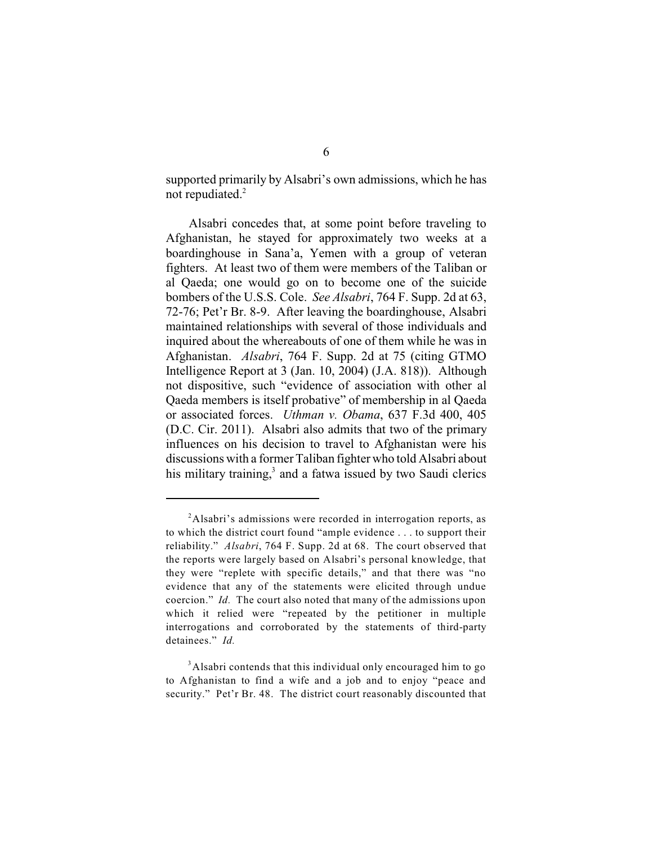supported primarily by Alsabri's own admissions, which he has not repudiated.<sup>2</sup>

Alsabri concedes that, at some point before traveling to Afghanistan, he stayed for approximately two weeks at a boardinghouse in Sana'a, Yemen with a group of veteran fighters. At least two of them were members of the Taliban or al Qaeda; one would go on to become one of the suicide bombers of the U.S.S. Cole. *See Alsabri*, 764 F. Supp. 2d at 63, 72-76; Pet'r Br. 8-9. After leaving the boardinghouse, Alsabri maintained relationships with several of those individuals and inquired about the whereabouts of one of them while he was in Afghanistan. *Alsabri*, 764 F. Supp. 2d at 75 (citing GTMO Intelligence Report at 3 (Jan. 10, 2004) (J.A. 818)). Although not dispositive, such "evidence of association with other al Qaeda members is itself probative" of membership in al Qaeda or associated forces. *Uthman v. Obama*, 637 F.3d 400, 405 (D.C. Cir. 2011). Alsabri also admits that two of the primary influences on his decision to travel to Afghanistan were his discussions with a former Taliban fighter who told Alsabri about his military training, $3$  and a fatwa issued by two Saudi clerics

<sup>&</sup>lt;sup>2</sup>Alsabri's admissions were recorded in interrogation reports, as to which the district court found "ample evidence . . . to support their reliability." *Alsabri*, 764 F. Supp. 2d at 68. The court observed that the reports were largely based on Alsabri's personal knowledge, that they were "replete with specific details," and that there was "no evidence that any of the statements were elicited through undue coercion." *Id.* The court also noted that many of the admissions upon which it relied were "repeated by the petitioner in multiple interrogations and corroborated by the statements of third-party detainees." *Id.*

<sup>&</sup>lt;sup>3</sup>Alsabri contends that this individual only encouraged him to go to Afghanistan to find a wife and a job and to enjoy "peace and security." Pet'r Br. 48. The district court reasonably discounted that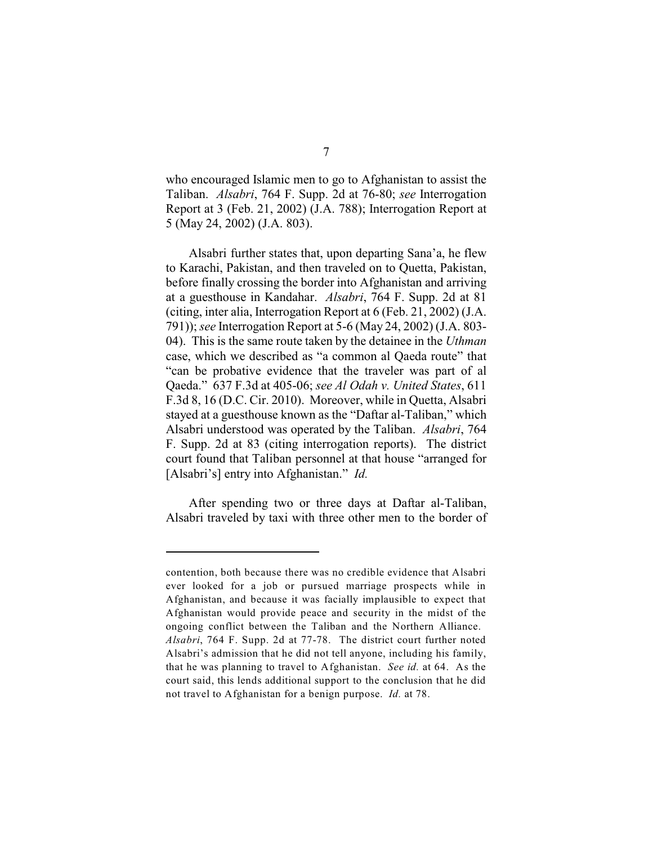who encouraged Islamic men to go to Afghanistan to assist the Taliban. *Alsabri*, 764 F. Supp. 2d at 76-80; *see* Interrogation Report at 3 (Feb. 21, 2002) (J.A. 788); Interrogation Report at 5 (May 24, 2002) (J.A. 803).

Alsabri further states that, upon departing Sana'a, he flew to Karachi, Pakistan, and then traveled on to Quetta, Pakistan, before finally crossing the border into Afghanistan and arriving at a guesthouse in Kandahar. *Alsabri*, 764 F. Supp. 2d at 81 (citing, inter alia, Interrogation Report at 6 (Feb. 21, 2002) (J.A. 791)); *see* Interrogation Report at 5-6 (May 24, 2002) (J.A. 803- 04). This is the same route taken by the detainee in the *Uthman* case, which we described as "a common al Qaeda route" that "can be probative evidence that the traveler was part of al Qaeda." 637 F.3d at 405-06; *see Al Odah v. United States*, 611 F.3d 8, 16 (D.C. Cir. 2010). Moreover, while in Quetta, Alsabri stayed at a guesthouse known as the "Daftar al-Taliban," which Alsabri understood was operated by the Taliban. *Alsabri*, 764 F. Supp. 2d at 83 (citing interrogation reports). The district court found that Taliban personnel at that house "arranged for [Alsabri's] entry into Afghanistan." *Id.*

After spending two or three days at Daftar al-Taliban, Alsabri traveled by taxi with three other men to the border of

contention, both because there was no credible evidence that Alsabri ever looked for a job or pursued marriage prospects while in Afghanistan, and because it was facially implausible to expect that Afghanistan would provide peace and security in the midst of the ongoing conflict between the Taliban and the Northern Alliance. *Alsabri*, 764 F. Supp. 2d at 77-78. The district court further noted Alsabri's admission that he did not tell anyone, including his family, that he was planning to travel to Afghanistan. *See id.* at 64. As the court said, this lends additional support to the conclusion that he did not travel to Afghanistan for a benign purpose. *Id.* at 78.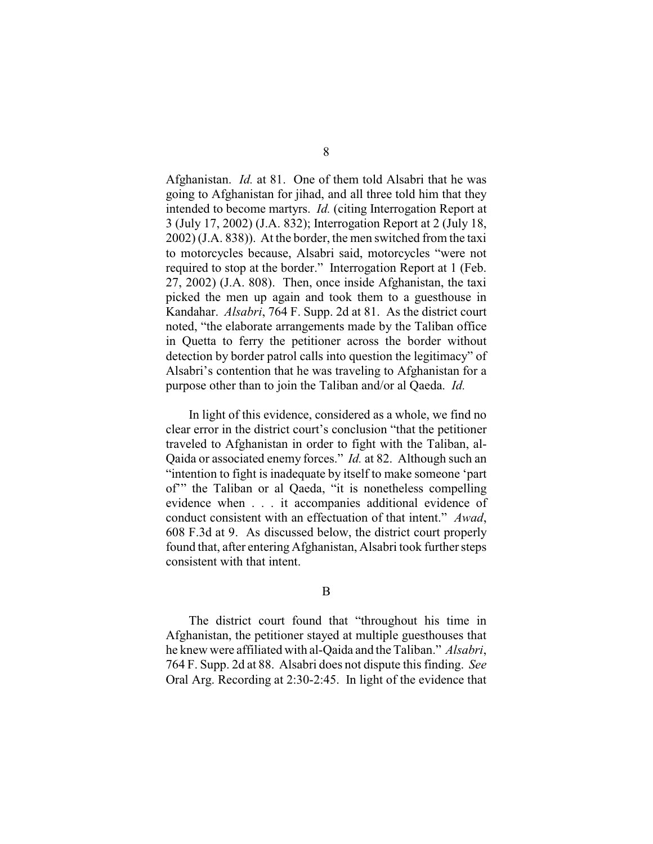Afghanistan. *Id.* at 81. One of them told Alsabri that he was going to Afghanistan for jihad, and all three told him that they intended to become martyrs. *Id.* (citing Interrogation Report at 3 (July 17, 2002) (J.A. 832); Interrogation Report at 2 (July 18, 2002) (J.A. 838)). At the border, the men switched from the taxi to motorcycles because, Alsabri said, motorcycles "were not required to stop at the border." Interrogation Report at 1 (Feb. 27, 2002) (J.A. 808). Then, once inside Afghanistan, the taxi picked the men up again and took them to a guesthouse in Kandahar. *Alsabri*, 764 F. Supp. 2d at 81. As the district court noted, "the elaborate arrangements made by the Taliban office in Quetta to ferry the petitioner across the border without detection by border patrol calls into question the legitimacy" of Alsabri's contention that he was traveling to Afghanistan for a purpose other than to join the Taliban and/or al Qaeda. *Id.*

In light of this evidence, considered as a whole, we find no clear error in the district court's conclusion "that the petitioner traveled to Afghanistan in order to fight with the Taliban, al-Qaida or associated enemy forces." *Id.* at 82. Although such an "intention to fight is inadequate by itself to make someone 'part of'" the Taliban or al Qaeda, "it is nonetheless compelling evidence when . . . it accompanies additional evidence of conduct consistent with an effectuation of that intent." *Awad*, 608 F.3d at 9. As discussed below, the district court properly found that, after entering Afghanistan, Alsabri took further steps consistent with that intent.

The district court found that "throughout his time in Afghanistan, the petitioner stayed at multiple guesthouses that he knew were affiliated with al-Qaida and the Taliban." *Alsabri*, 764 F. Supp. 2d at 88. Alsabri does not dispute this finding. *See* Oral Arg. Recording at 2:30-2:45. In light of the evidence that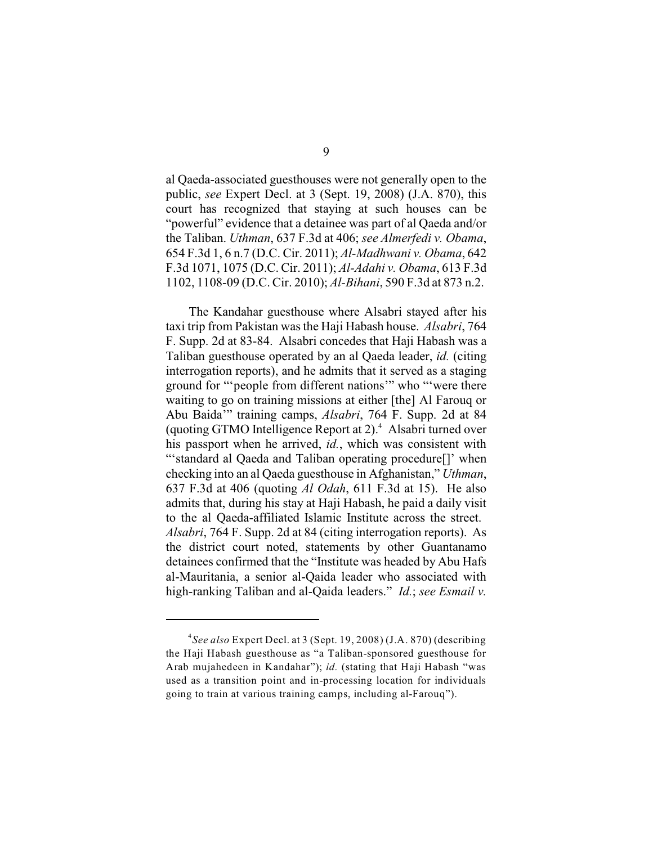al Qaeda-associated guesthouses were not generally open to the public, *see* Expert Decl. at 3 (Sept. 19, 2008) (J.A. 870), this court has recognized that staying at such houses can be "powerful" evidence that a detainee was part of al Qaeda and/or the Taliban. *Uthman*, 637 F.3d at 406; *see Almerfedi v. Obama*, 654 F.3d 1, 6 n.7 (D.C. Cir. 2011); *Al-Madhwani v. Obama*, 642 F.3d 1071, 1075 (D.C. Cir. 2011); *Al-Adahi v. Obama*, 613 F.3d 1102, 1108-09 (D.C. Cir. 2010); *Al-Bihani*, 590 F.3d at 873 n.2.

The Kandahar guesthouse where Alsabri stayed after his taxi trip from Pakistan was the Haji Habash house. *Alsabri*, 764 F. Supp. 2d at 83-84. Alsabri concedes that Haji Habash was a Taliban guesthouse operated by an al Qaeda leader, *id.* (citing interrogation reports), and he admits that it served as a staging ground for "'people from different nations'" who "'were there waiting to go on training missions at either [the] Al Farouq or Abu Baida'" training camps, *Alsabri*, 764 F. Supp. 2d at 84 (quoting GTMO Intelligence Report at  $2$ ).<sup>4</sup> Alsabri turned over his passport when he arrived, *id.*, which was consistent with "'standard al Qaeda and Taliban operating procedure[]' when checking into an al Qaeda guesthouse in Afghanistan," *Uthman*, 637 F.3d at 406 (quoting *Al Odah*, 611 F.3d at 15). He also admits that, during his stay at Haji Habash, he paid a daily visit to the al Qaeda-affiliated Islamic Institute across the street. *Alsabri*, 764 F. Supp. 2d at 84 (citing interrogation reports). As the district court noted, statements by other Guantanamo detainees confirmed that the "Institute was headed by Abu Hafs al-Mauritania, a senior al-Qaida leader who associated with high-ranking Taliban and al-Qaida leaders." *Id.*; *see Esmail v.*

<sup>&</sup>lt;sup>4</sup>See also Expert Decl. at 3 (Sept. 19, 2008) (J.A. 870) (describing the Haji Habash guesthouse as "a Taliban-sponsored guesthouse for Arab mujahedeen in Kandahar"); *id.* (stating that Haji Habash "was used as a transition point and in-processing location for individuals going to train at various training camps, including al-Farouq").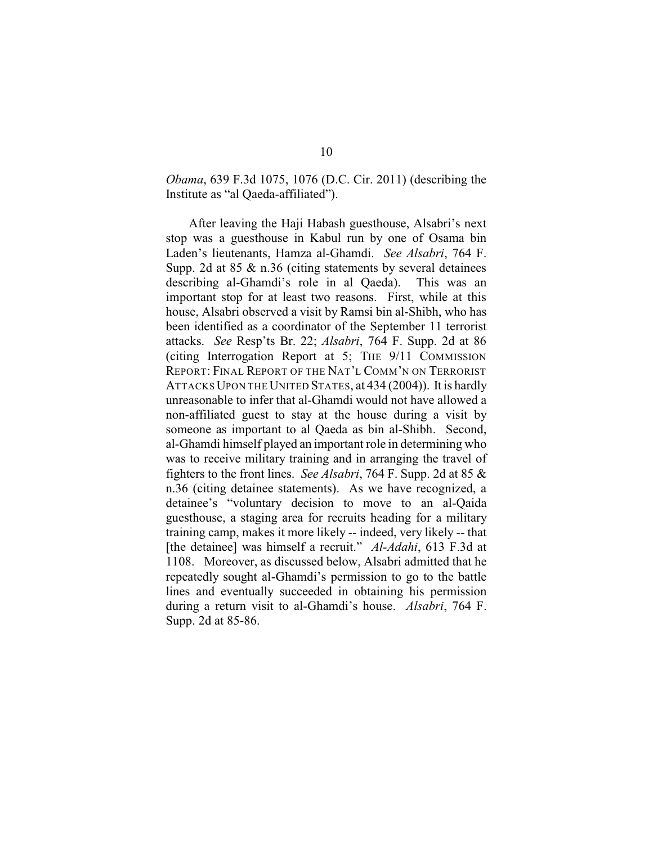*Obama*, 639 F.3d 1075, 1076 (D.C. Cir. 2011) (describing the Institute as "al Qaeda-affiliated").

After leaving the Haji Habash guesthouse, Alsabri's next stop was a guesthouse in Kabul run by one of Osama bin Laden's lieutenants, Hamza al-Ghamdi. *See Alsabri*, 764 F. Supp. 2d at 85 & n.36 (citing statements by several detainees describing al-Ghamdi's role in al Qaeda). This was an important stop for at least two reasons. First, while at this house, Alsabri observed a visit by Ramsi bin al-Shibh, who has been identified as a coordinator of the September 11 terrorist attacks. *See* Resp'ts Br. 22; *Alsabri*, 764 F. Supp. 2d at 86 (citing Interrogation Report at 5; THE 9/11 COMMISSION REPORT: FINAL REPORT OF THE NAT'L COMM'N ON TERRORIST ATTACKSUPON THE UNITED STATES, at 434 (2004)). It is hardly unreasonable to infer that al-Ghamdi would not have allowed a non-affiliated guest to stay at the house during a visit by someone as important to al Qaeda as bin al-Shibh. Second, al-Ghamdi himself played an important role in determining who was to receive military training and in arranging the travel of fighters to the front lines. *See Alsabri*, 764 F. Supp. 2d at 85 & n.36 (citing detainee statements). As we have recognized, a detainee's "voluntary decision to move to an al-Qaida guesthouse, a staging area for recruits heading for a military training camp, makes it more likely -- indeed, very likely -- that [the detainee] was himself a recruit." *Al-Adahi*, 613 F.3d at 1108. Moreover, as discussed below, Alsabri admitted that he repeatedly sought al-Ghamdi's permission to go to the battle lines and eventually succeeded in obtaining his permission during a return visit to al-Ghamdi's house. *Alsabri*, 764 F. Supp. 2d at 85-86.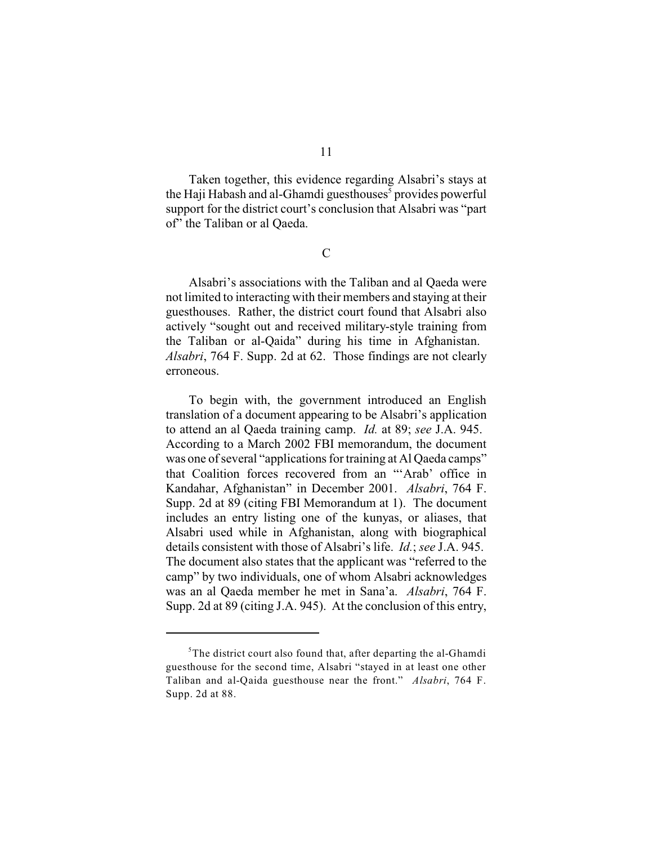Taken together, this evidence regarding Alsabri's stays at the Haji Habash and al-Ghamdi guesthouses<sup>5</sup> provides powerful support for the district court's conclusion that Alsabri was "part of" the Taliban or al Qaeda.

 $\overline{C}$ 

Alsabri's associations with the Taliban and al Qaeda were not limited to interacting with their members and staying at their guesthouses. Rather, the district court found that Alsabri also actively "sought out and received military-style training from the Taliban or al-Qaida" during his time in Afghanistan. *Alsabri*, 764 F. Supp. 2d at 62. Those findings are not clearly erroneous.

To begin with, the government introduced an English translation of a document appearing to be Alsabri's application to attend an al Qaeda training camp. *Id.* at 89; *see* J.A. 945. According to a March 2002 FBI memorandum, the document was one of several "applications for training at Al Qaeda camps" that Coalition forces recovered from an "'Arab' office in Kandahar, Afghanistan" in December 2001. *Alsabri*, 764 F. Supp. 2d at 89 (citing FBI Memorandum at 1). The document includes an entry listing one of the kunyas, or aliases, that Alsabri used while in Afghanistan, along with biographical details consistent with those of Alsabri's life. *Id.*; *see* J.A. 945. The document also states that the applicant was "referred to the camp" by two individuals, one of whom Alsabri acknowledges was an al Qaeda member he met in Sana'a. *Alsabri*, 764 F. Supp. 2d at 89 (citing J.A. 945). At the conclusion of this entry,

 $5$ The district court also found that, after departing the al-Ghamdi guesthouse for the second time, Alsabri "stayed in at least one other Taliban and al-Qaida guesthouse near the front." *Alsabri*, 764 F. Supp. 2d at 88.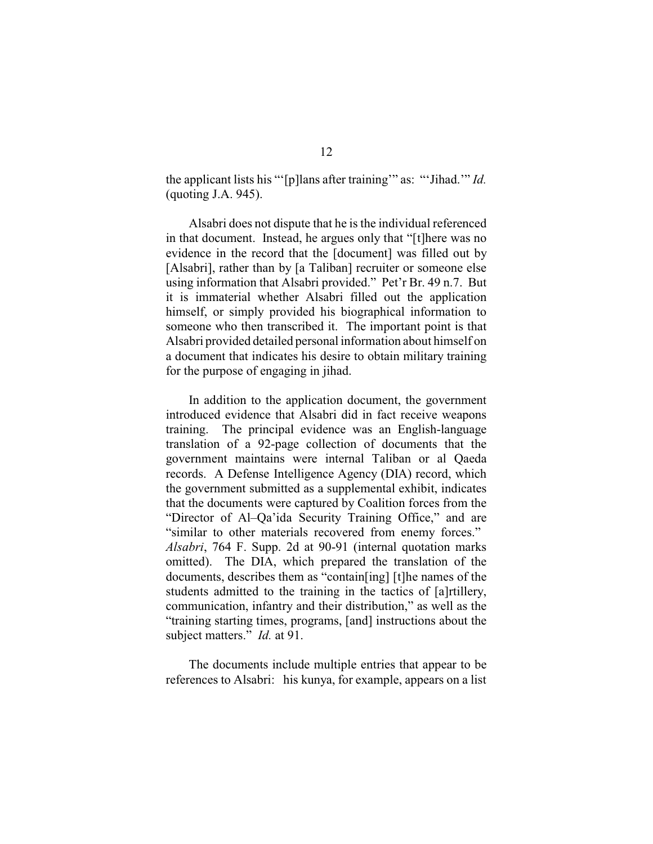the applicant lists his "'[p]lans after training'" as: "'Jihad.'" *Id.* (quoting J.A. 945).

Alsabri does not dispute that he is the individual referenced in that document. Instead, he argues only that "[t]here was no evidence in the record that the [document] was filled out by [Alsabri], rather than by [a Taliban] recruiter or someone else using information that Alsabri provided." Pet'r Br. 49 n.7. But it is immaterial whether Alsabri filled out the application himself, or simply provided his biographical information to someone who then transcribed it. The important point is that Alsabri provided detailed personal information about himself on a document that indicates his desire to obtain military training for the purpose of engaging in jihad.

In addition to the application document, the government introduced evidence that Alsabri did in fact receive weapons training. The principal evidence was an English-language translation of a 92-page collection of documents that the government maintains were internal Taliban or al Qaeda records. A Defense Intelligence Agency (DIA) record, which the government submitted as a supplemental exhibit, indicates that the documents were captured by Coalition forces from the "Director of Al–Qa'ida Security Training Office," and are "similar to other materials recovered from enemy forces." *Alsabri*, 764 F. Supp. 2d at 90-91 (internal quotation marks omitted). The DIA, which prepared the translation of the documents, describes them as "contain[ing] [t]he names of the students admitted to the training in the tactics of [a]rtillery, communication, infantry and their distribution," as well as the "training starting times, programs, [and] instructions about the subject matters." *Id.* at 91.

The documents include multiple entries that appear to be references to Alsabri: his kunya, for example, appears on a list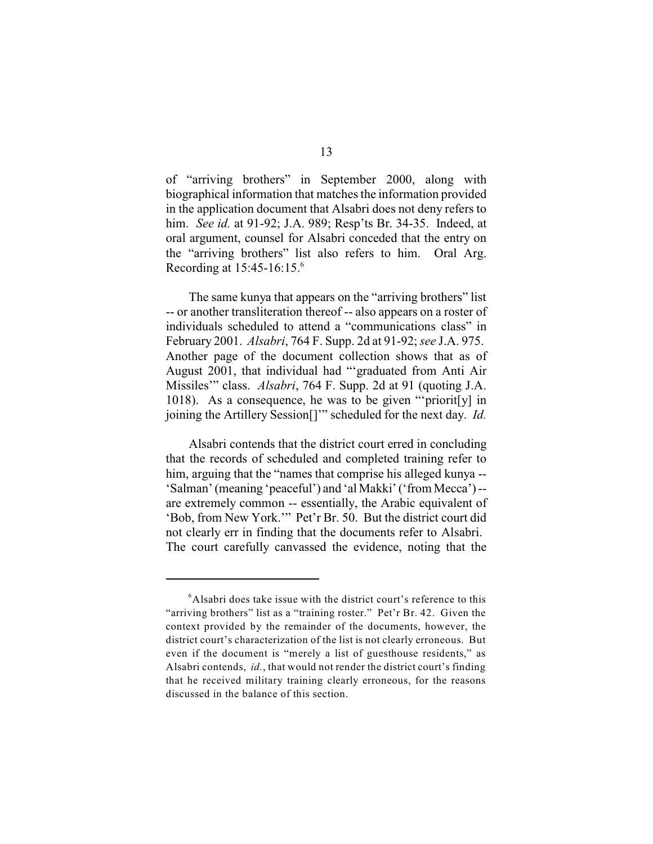of "arriving brothers" in September 2000, along with biographical information that matches the information provided in the application document that Alsabri does not deny refers to him. *See id.* at 91-92; J.A. 989; Resp'ts Br. 34-35. Indeed, at oral argument, counsel for Alsabri conceded that the entry on the "arriving brothers" list also refers to him. Oral Arg. Recording at 15:45-16:15. 6

The same kunya that appears on the "arriving brothers" list -- or another transliteration thereof -- also appears on a roster of individuals scheduled to attend a "communications class" in February 2001. *Alsabri*, 764 F. Supp. 2d at 91-92; *see* J.A. 975. Another page of the document collection shows that as of August 2001, that individual had "'graduated from Anti Air Missiles'" class. *Alsabri*, 764 F. Supp. 2d at 91 (quoting J.A. 1018). As a consequence, he was to be given "'priorit[y] in joining the Artillery Session[]'" scheduled for the next day. *Id.*

Alsabri contends that the district court erred in concluding that the records of scheduled and completed training refer to him, arguing that the "names that comprise his alleged kunya -- 'Salman' (meaning 'peaceful') and 'al Makki' ('from Mecca')- are extremely common -- essentially, the Arabic equivalent of 'Bob, from New York.'" Pet'r Br. 50. But the district court did not clearly err in finding that the documents refer to Alsabri. The court carefully canvassed the evidence, noting that the

 $6$ Alsabri does take issue with the district court's reference to this "arriving brothers" list as a "training roster." Pet'r Br. 42. Given the context provided by the remainder of the documents, however, the district court's characterization of the list is not clearly erroneous. But even if the document is "merely a list of guesthouse residents," as Alsabri contends, *id.*, that would not render the district court's finding that he received military training clearly erroneous, for the reasons discussed in the balance of this section.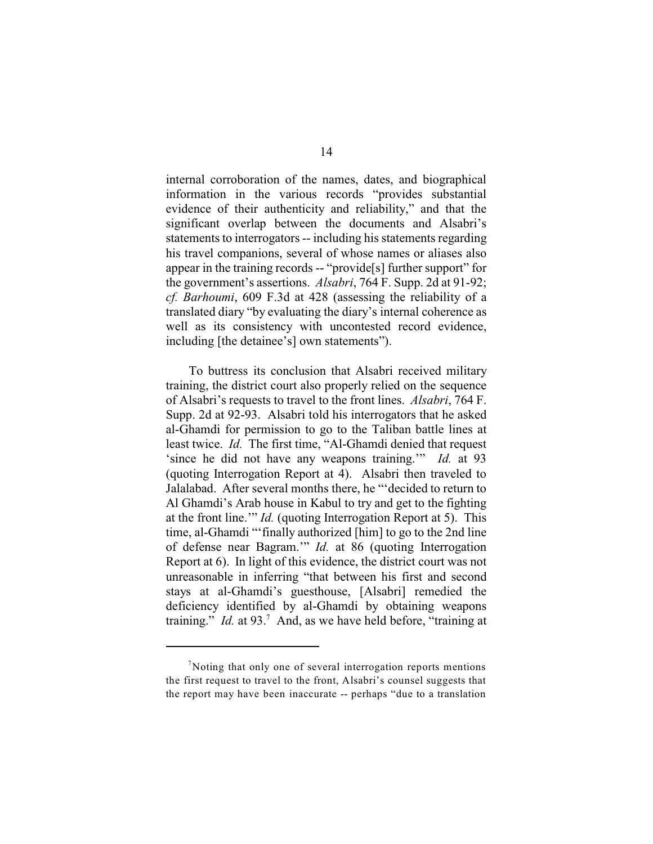internal corroboration of the names, dates, and biographical information in the various records "provides substantial evidence of their authenticity and reliability," and that the significant overlap between the documents and Alsabri's statements to interrogators -- including his statements regarding his travel companions, several of whose names or aliases also appear in the training records -- "provide[s] further support" for the government's assertions. *Alsabri*, 764 F. Supp. 2d at 91-92; *cf. Barhoumi*, 609 F.3d at 428 (assessing the reliability of a translated diary "by evaluating the diary's internal coherence as well as its consistency with uncontested record evidence, including [the detainee's] own statements").

To buttress its conclusion that Alsabri received military training, the district court also properly relied on the sequence of Alsabri's requests to travel to the front lines. *Alsabri*, 764 F. Supp. 2d at 92-93. Alsabri told his interrogators that he asked al-Ghamdi for permission to go to the Taliban battle lines at least twice. *Id.* The first time, "Al-Ghamdi denied that request 'since he did not have any weapons training.'" *Id.* at 93 (quoting Interrogation Report at 4). Alsabri then traveled to Jalalabad. After several months there, he "'decided to return to Al Ghamdi's Arab house in Kabul to try and get to the fighting at the front line.'" *Id.* (quoting Interrogation Report at 5). This time, al-Ghamdi "'finally authorized [him] to go to the 2nd line of defense near Bagram.'" *Id.* at 86 (quoting Interrogation Report at 6). In light of this evidence, the district court was not unreasonable in inferring "that between his first and second stays at al-Ghamdi's guesthouse, [Alsabri] remedied the deficiency identified by al-Ghamdi by obtaining weapons training." *Id.* at 93.<sup>7</sup> And, as we have held before, "training at

 $\sqrt{7}$ Noting that only one of several interrogation reports mentions the first request to travel to the front, Alsabri's counsel suggests that the report may have been inaccurate -- perhaps "due to a translation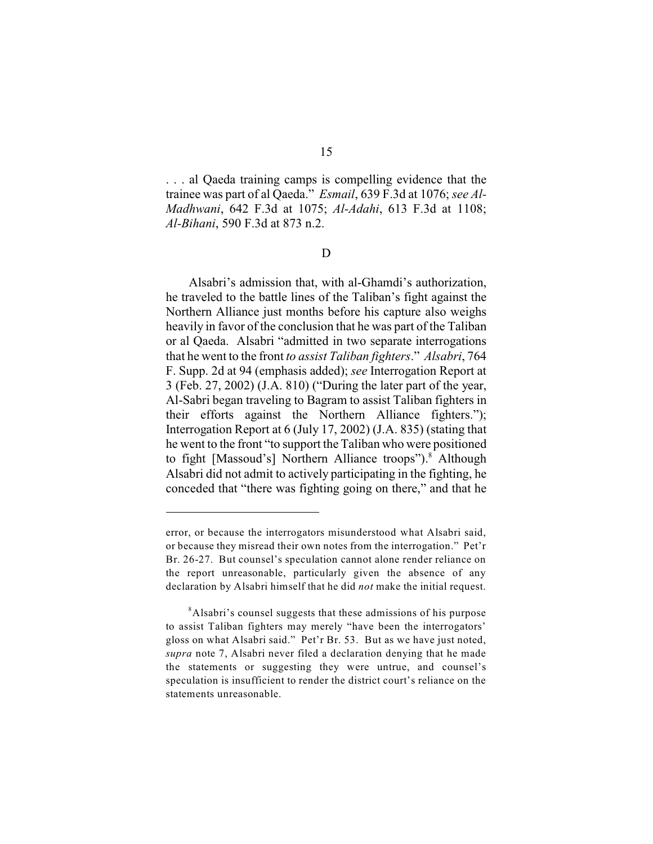. . . al Qaeda training camps is compelling evidence that the trainee was part of al Qaeda." *Esmail*, 639 F.3d at 1076; *see Al-Madhwani*, 642 F.3d at 1075; *Al-Adahi*, 613 F.3d at 1108; *Al-Bihani*, 590 F.3d at 873 n.2.

D

Alsabri's admission that, with al-Ghamdi's authorization, he traveled to the battle lines of the Taliban's fight against the Northern Alliance just months before his capture also weighs heavily in favor of the conclusion that he was part of the Taliban or al Qaeda. Alsabri "admitted in two separate interrogations that he went to the front *to assist Taliban fighters*." *Alsabri*, 764 F. Supp. 2d at 94 (emphasis added); *see* Interrogation Report at 3 (Feb. 27, 2002) (J.A. 810) ("During the later part of the year, Al-Sabri began traveling to Bagram to assist Taliban fighters in their efforts against the Northern Alliance fighters."); Interrogation Report at 6 (July 17, 2002) (J.A. 835) (stating that he went to the front "to support the Taliban who were positioned to fight [Massoud's] Northern Alliance troops").<sup>8</sup> Although Alsabri did not admit to actively participating in the fighting, he conceded that "there was fighting going on there," and that he

error, or because the interrogators misunderstood what Alsabri said, or because they misread their own notes from the interrogation." Pet'r Br. 26-27. But counsel's speculation cannot alone render reliance on the report unreasonable, particularly given the absence of any declaration by Alsabri himself that he did *not* make the initial request.

<sup>&</sup>lt;sup>8</sup>Alsabri's counsel suggests that these admissions of his purpose to assist Taliban fighters may merely "have been the interrogators' gloss on what Alsabri said." Pet'r Br. 53. But as we have just noted, *supra* note 7, Alsabri never filed a declaration denying that he made the statements or suggesting they were untrue, and counsel's speculation is insufficient to render the district court's reliance on the statements unreasonable.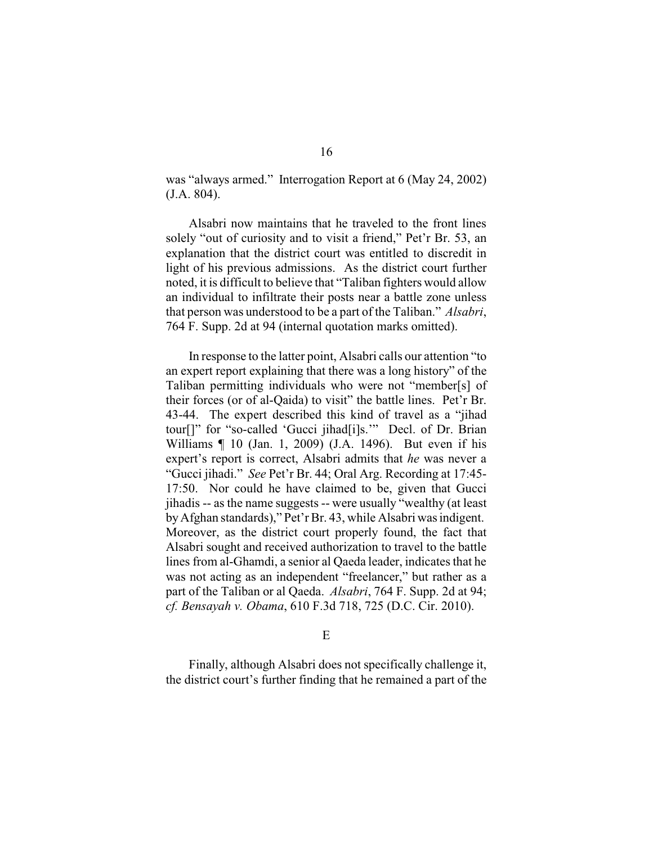was "always armed." Interrogation Report at 6 (May 24, 2002) (J.A. 804).

Alsabri now maintains that he traveled to the front lines solely "out of curiosity and to visit a friend," Pet'r Br. 53, an explanation that the district court was entitled to discredit in light of his previous admissions. As the district court further noted, it is difficult to believe that "Taliban fighters would allow an individual to infiltrate their posts near a battle zone unless that person was understood to be a part of the Taliban." *Alsabri*, 764 F. Supp. 2d at 94 (internal quotation marks omitted).

In response to the latter point, Alsabri calls our attention "to an expert report explaining that there was a long history" of the Taliban permitting individuals who were not "member[s] of their forces (or of al-Qaida) to visit" the battle lines. Pet'r Br. 43-44. The expert described this kind of travel as a "jihad tour[]" for "so-called 'Gucci jihad[i]s.'" Decl. of Dr. Brian Williams ¶ 10 (Jan. 1, 2009) (J.A. 1496). But even if his expert's report is correct, Alsabri admits that *he* was never a "Gucci jihadi." *See* Pet'r Br. 44; Oral Arg. Recording at 17:45- 17:50. Nor could he have claimed to be, given that Gucci jihadis -- as the name suggests -- were usually "wealthy (at least byAfghan standards)," Pet'r Br. 43, while Alsabri was indigent. Moreover, as the district court properly found, the fact that Alsabri sought and received authorization to travel to the battle lines from al-Ghamdi, a senior al Qaeda leader, indicates that he was not acting as an independent "freelancer," but rather as a part of the Taliban or al Qaeda. *Alsabri*, 764 F. Supp. 2d at 94; *cf. Bensayah v. Obama*, 610 F.3d 718, 725 (D.C. Cir. 2010).

E

Finally, although Alsabri does not specifically challenge it, the district court's further finding that he remained a part of the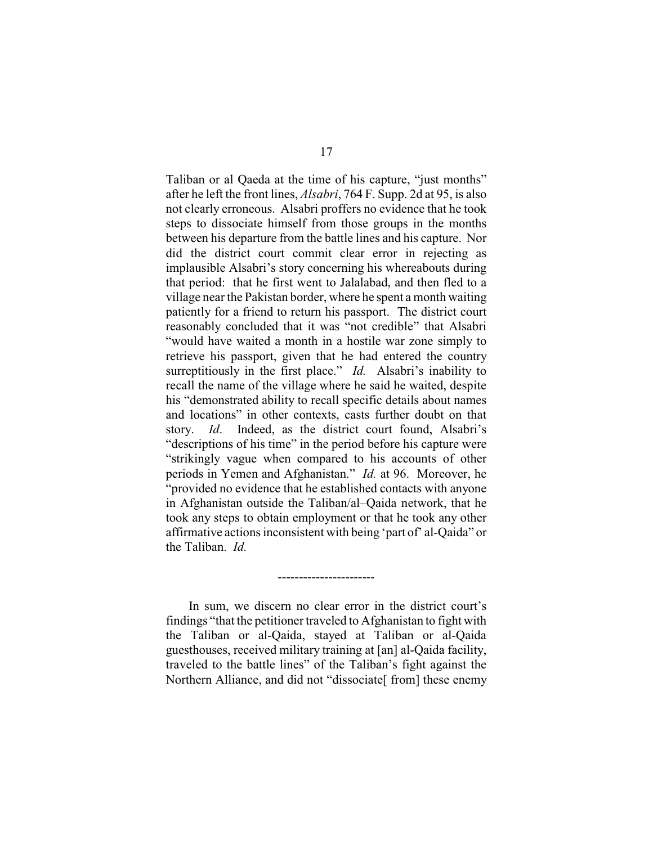Taliban or al Qaeda at the time of his capture, "just months" after he left the front lines, *Alsabri*, 764 F. Supp. 2d at 95, is also not clearly erroneous. Alsabri proffers no evidence that he took steps to dissociate himself from those groups in the months between his departure from the battle lines and his capture. Nor did the district court commit clear error in rejecting as implausible Alsabri's story concerning his whereabouts during that period: that he first went to Jalalabad, and then fled to a village near the Pakistan border, where he spent a month waiting patiently for a friend to return his passport. The district court reasonably concluded that it was "not credible" that Alsabri "would have waited a month in a hostile war zone simply to retrieve his passport, given that he had entered the country surreptitiously in the first place." *Id.* Alsabri's inability to recall the name of the village where he said he waited, despite his "demonstrated ability to recall specific details about names and locations" in other contexts, casts further doubt on that story. *Id*. Indeed, as the district court found, Alsabri's "descriptions of his time" in the period before his capture were "strikingly vague when compared to his accounts of other periods in Yemen and Afghanistan." *Id.* at 96. Moreover, he "provided no evidence that he established contacts with anyone in Afghanistan outside the Taliban/al–Qaida network, that he took any steps to obtain employment or that he took any other affirmative actions inconsistent with being 'part of' al-Qaida" or the Taliban. *Id.*

In sum, we discern no clear error in the district court's findings "that the petitioner traveled to Afghanistan to fight with the Taliban or al-Qaida, stayed at Taliban or al-Qaida guesthouses, received military training at [an] al-Qaida facility, traveled to the battle lines" of the Taliban's fight against the Northern Alliance, and did not "dissociate<sup>[from]</sup> these enemy

-----------------------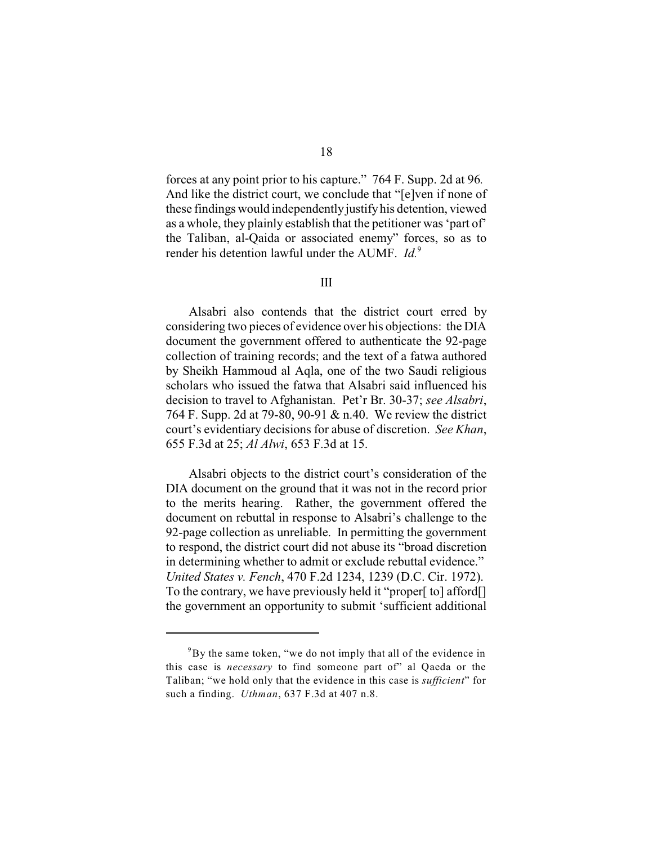forces at any point prior to his capture." 764 F. Supp. 2d at 96*.* And like the district court, we conclude that "[e]ven if none of these findings would independentlyjustifyhis detention, viewed as a whole, they plainly establish that the petitioner was 'part of' the Taliban, al-Qaida or associated enemy" forces, so as to

## III

render his detention lawful under the AUMF. *Id.*<sup>9</sup>

Alsabri also contends that the district court erred by considering two pieces of evidence over his objections: the DIA document the government offered to authenticate the 92-page collection of training records; and the text of a fatwa authored by Sheikh Hammoud al Aqla, one of the two Saudi religious scholars who issued the fatwa that Alsabri said influenced his decision to travel to Afghanistan. Pet'r Br. 30-37; *see Alsabri*, 764 F. Supp. 2d at 79-80, 90-91 & n.40. We review the district court's evidentiary decisions for abuse of discretion. *See Khan*, 655 F.3d at 25; *Al Alwi*, 653 F.3d at 15.

Alsabri objects to the district court's consideration of the DIA document on the ground that it was not in the record prior to the merits hearing. Rather, the government offered the document on rebuttal in response to Alsabri's challenge to the 92-page collection as unreliable. In permitting the government to respond, the district court did not abuse its "broad discretion in determining whether to admit or exclude rebuttal evidence." *United States v. Fench*, 470 F.2d 1234, 1239 (D.C. Cir. 1972). To the contrary, we have previously held it "proper[ to] afford[] the government an opportunity to submit 'sufficient additional

 ${}^{9}$ By the same token, "we do not imply that all of the evidence in this case is *necessary* to find someone part of" al Qaeda or the Taliban; "we hold only that the evidence in this case is *sufficient*" for such a finding. *Uthman*, 637 F.3d at 407 n.8.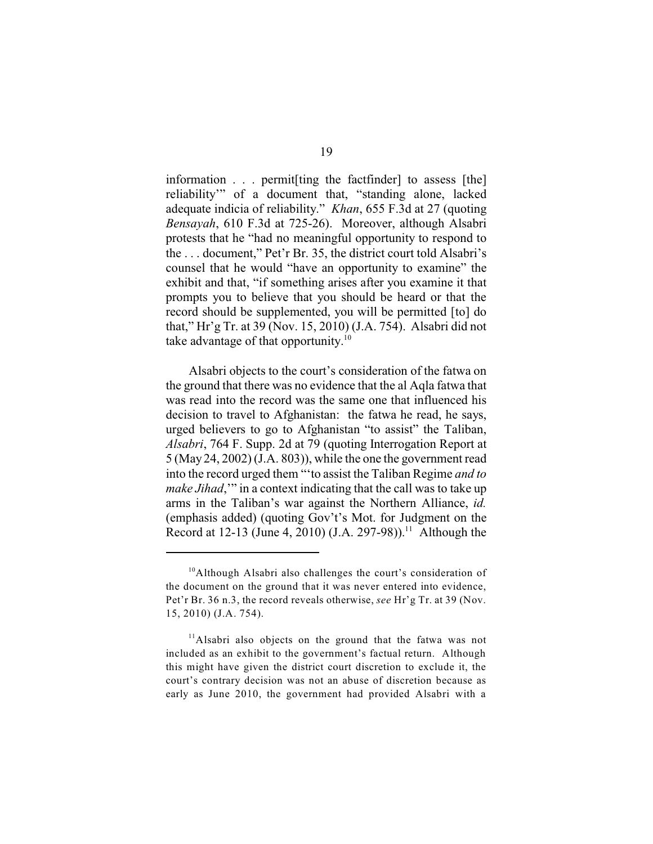information . . . permit[ting the factfinder] to assess [the] reliability'" of a document that, "standing alone, lacked adequate indicia of reliability." *Khan*, 655 F.3d at 27 (quoting *Bensayah*, 610 F.3d at 725-26). Moreover, although Alsabri protests that he "had no meaningful opportunity to respond to the . . . document," Pet'r Br. 35, the district court told Alsabri's counsel that he would "have an opportunity to examine" the exhibit and that, "if something arises after you examine it that prompts you to believe that you should be heard or that the record should be supplemented, you will be permitted [to] do that," Hr'g Tr. at 39 (Nov. 15, 2010) (J.A. 754). Alsabri did not take advantage of that opportunity. $10$ 

Alsabri objects to the court's consideration of the fatwa on the ground that there was no evidence that the al Aqla fatwa that was read into the record was the same one that influenced his decision to travel to Afghanistan: the fatwa he read, he says, urged believers to go to Afghanistan "to assist" the Taliban, *Alsabri*, 764 F. Supp. 2d at 79 (quoting Interrogation Report at 5 (May 24, 2002) (J.A. 803)), while the one the government read into the record urged them "'to assist the Taliban Regime *and to make Jihad*,'" in a context indicating that the call was to take up arms in the Taliban's war against the Northern Alliance, *id.* (emphasis added) (quoting Gov't's Mot. for Judgment on the Record at 12-13 (June 4, 2010) (J.A. 297-98)).<sup>11</sup> Although the

<sup>&</sup>lt;sup>10</sup>Although Alsabri also challenges the court's consideration of the document on the ground that it was never entered into evidence, Pet'r Br. 36 n.3, the record reveals otherwise, *see* Hr'g Tr. at 39 (Nov. 15, 2010) (J.A. 754).

 $11$ Alsabri also objects on the ground that the fatwa was not included as an exhibit to the government's factual return. Although this might have given the district court discretion to exclude it, the court's contrary decision was not an abuse of discretion because as early as June 2010, the government had provided Alsabri with a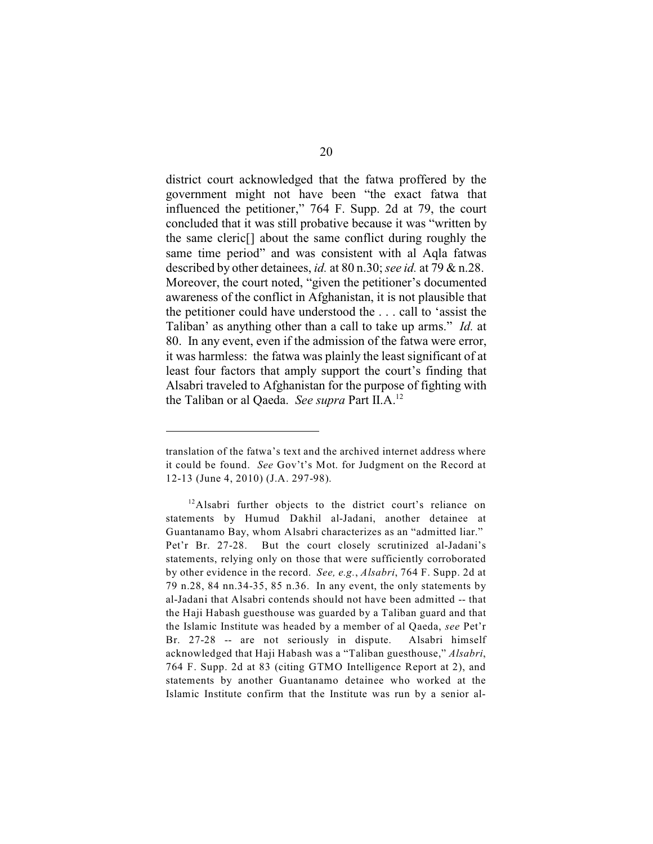district court acknowledged that the fatwa proffered by the government might not have been "the exact fatwa that influenced the petitioner," 764 F. Supp. 2d at 79, the court concluded that it was still probative because it was "written by the same cleric[] about the same conflict during roughly the same time period" and was consistent with al Aqla fatwas described by other detainees, *id.* at 80 n.30; *see id.* at 79 & n.28. Moreover, the court noted, "given the petitioner's documented awareness of the conflict in Afghanistan, it is not plausible that the petitioner could have understood the . . . call to 'assist the Taliban' as anything other than a call to take up arms." *Id.* at 80. In any event, even if the admission of the fatwa were error, it was harmless: the fatwa was plainly the least significant of at least four factors that amply support the court's finding that Alsabri traveled to Afghanistan for the purpose of fighting with the Taliban or al Qaeda. *See supra* Part II.A.<sup>12</sup>

translation of the fatwa's text and the archived internet address where it could be found. *See* Gov't's Mot. for Judgment on the Record at 12-13 (June 4, 2010) (J.A. 297-98).

<sup>&</sup>lt;sup>12</sup>Alsabri further objects to the district court's reliance on statements by Humud Dakhil al-Jadani, another detainee at Guantanamo Bay, whom Alsabri characterizes as an "admitted liar." Pet'r Br. 27-28. But the court closely scrutinized al-Jadani's statements, relying only on those that were sufficiently corroborated by other evidence in the record. *See, e.g.*, *Alsabri*, 764 F. Supp. 2d at 79 n.28, 84 nn.34-35, 85 n.36. In any event, the only statements by al-Jadani that Alsabri contends should not have been admitted -- that the Haji Habash guesthouse was guarded by a Taliban guard and that the Islamic Institute was headed by a member of al Qaeda, *see* Pet'r Br. 27-28 -- are not seriously in dispute. Alsabri himself acknowledged that Haji Habash was a "Taliban guesthouse," *Alsabri*, 764 F. Supp. 2d at 83 (citing GTMO Intelligence Report at 2), and statements by another Guantanamo detainee who worked at the Islamic Institute confirm that the Institute was run by a senior al-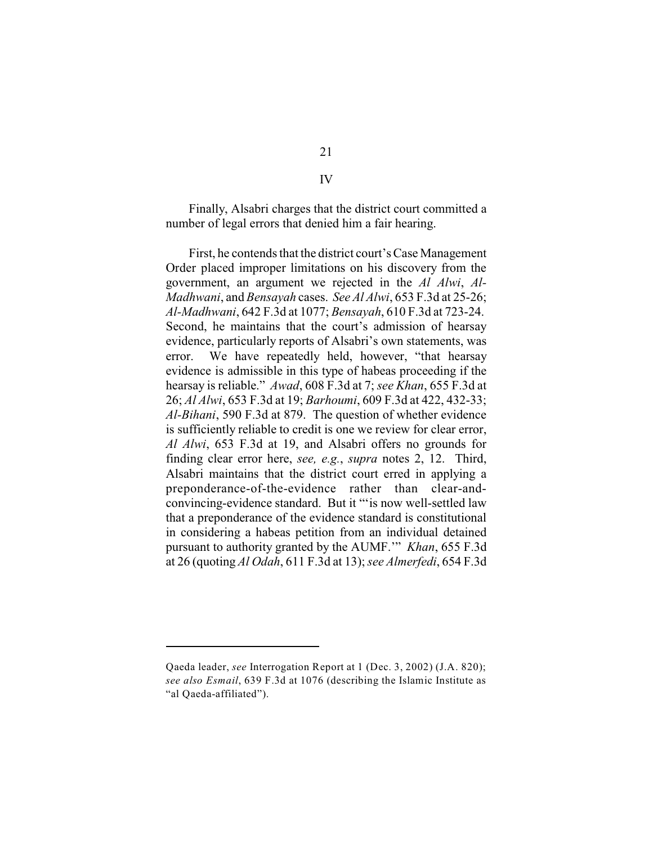Finally, Alsabri charges that the district court committed a number of legal errors that denied him a fair hearing.

First, he contends that the district court's Case Management Order placed improper limitations on his discovery from the government, an argument we rejected in the *Al Alwi*, *Al-Madhwani*, and *Bensayah* cases. *See Al Alwi*, 653 F.3d at 25-26; *Al-Madhwani*, 642 F.3d at 1077; *Bensayah*, 610 F.3d at 723-24. Second, he maintains that the court's admission of hearsay evidence, particularly reports of Alsabri's own statements, was error. We have repeatedly held, however, "that hearsay evidence is admissible in this type of habeas proceeding if the hearsay is reliable." *Awad*, 608 F.3d at 7; *see Khan*, 655 F.3d at 26; *Al Alwi*, 653 F.3d at 19; *Barhoumi*, 609 F.3d at 422, 432-33; *Al-Bihani*, 590 F.3d at 879. The question of whether evidence is sufficiently reliable to credit is one we review for clear error, *Al Alwi*, 653 F.3d at 19, and Alsabri offers no grounds for finding clear error here, *see, e.g.*, *supra* notes 2, 12. Third, Alsabri maintains that the district court erred in applying a preponderance-of-the-evidence rather than clear-andconvincing-evidence standard. But it "'is now well-settled law that a preponderance of the evidence standard is constitutional in considering a habeas petition from an individual detained pursuant to authority granted by the AUMF.'" *Khan*, 655 F.3d at 26 (quoting *Al Odah*, 611 F.3d at 13); *see Almerfedi*, 654 F.3d

IV

Qaeda leader, *see* Interrogation Report at 1 (Dec. 3, 2002) (J.A. 820); *see also Esmail*, 639 F.3d at 1076 (describing the Islamic Institute as "al Qaeda-affiliated").